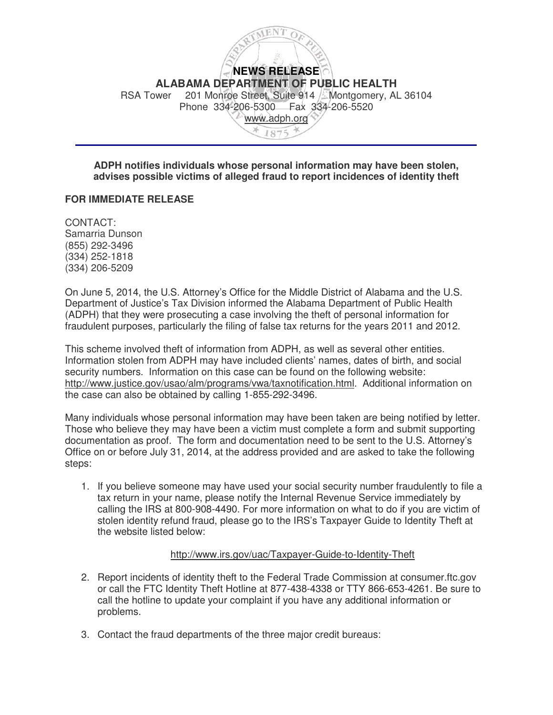

## **ADPH notifies individuals whose personal information may have been stolen, advises possible victims of alleged fraud to report incidences of identity theft**

## **FOR IMMEDIATE RELEASE**

CONTACT: Samarria Dunson (855) 292-3496 (334) 252-1818 (334) 206-5209

On June 5, 2014, the U.S. Attorney's Office for the Middle District of Alabama and the U.S. Department of Justice's Tax Division informed the Alabama Department of Public Health (ADPH) that they were prosecuting a case involving the theft of personal information for fraudulent purposes, particularly the filing of false tax returns for the years 2011 and 2012.

This scheme involved theft of information from ADPH, as well as several other entities. Information stolen from ADPH may have included clients' names, dates of birth, and social security numbers. Information on this case can be found on the following website: http://www.justice.gov/usao/alm/programs/vwa/taxnotification.html. Additional information on the case can also be obtained by calling 1-855-292-3496.

Many individuals whose personal information may have been taken are being notified by letter. Those who believe they may have been a victim must complete a form and submit supporting documentation as proof. The form and documentation need to be sent to the U.S. Attorney's Office on or before July 31, 2014, at the address provided and are asked to take the following steps:

1. If you believe someone may have used your social security number fraudulently to file a tax return in your name, please notify the Internal Revenue Service immediately by calling the IRS at 800-908-4490. For more information on what to do if you are victim of stolen identity refund fraud, please go to the IRS's Taxpayer Guide to Identity Theft at the website listed below:

## http://www.irs.gov/uac/Taxpayer-Guide-to-Identity-Theft

- 2. Report incidents of identity theft to the Federal Trade Commission at consumer.ftc.gov or call the FTC Identity Theft Hotline at 877-438-4338 or TTY 866-653-4261. Be sure to call the hotline to update your complaint if you have any additional information or problems.
- 3. Contact the fraud departments of the three major credit bureaus: